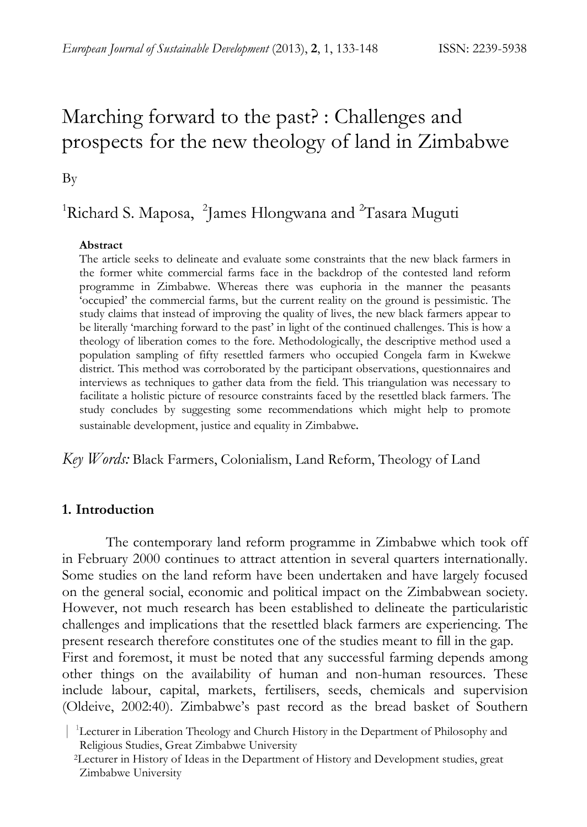# Marching forward to the past? : Challenges and prospects for the new theology of land in Zimbabwe

By

# <sup>1</sup>Richard S. Maposa, <sup>2</sup>James Hlongwana and <sup>2</sup>Tasara Muguti

#### **Abstract**

The article seeks to delineate and evaluate some constraints that the new black farmers in the former white commercial farms face in the backdrop of the contested land reform programme in Zimbabwe. Whereas there was euphoria in the manner the peasants 'occupied' the commercial farms, but the current reality on the ground is pessimistic. The study claims that instead of improving the quality of lives, the new black farmers appear to be literally 'marching forward to the past' in light of the continued challenges. This is how a theology of liberation comes to the fore. Methodologically, the descriptive method used a population sampling of fifty resettled farmers who occupied Congela farm in Kwekwe district. This method was corroborated by the participant observations, questionnaires and interviews as techniques to gather data from the field. This triangulation was necessary to facilitate a holistic picture of resource constraints faced by the resettled black farmers. The study concludes by suggesting some recommendations which might help to promote sustainable development, justice and equality in Zimbabwe*.* 

*Key Words:* Black Farmers, Colonialism, Land Reform, Theology of Land

#### **1. Introduction**

The contemporary land reform programme in Zimbabwe which took off in February 2000 continues to attract attention in several quarters internationally. Some studies on the land reform have been undertaken and have largely focused on the general social, economic and political impact on the Zimbabwean society. However, not much research has been established to delineate the particularistic challenges and implications that the resettled black farmers are experiencing. The present research therefore constitutes one of the studies meant to fill in the gap. First and foremost, it must be noted that any successful farming depends among other things on the availability of human and non-human resources. These include labour, capital, markets, fertilisers, seeds, chemicals and supervision (Oldeive, 2002:40). Zimbabwe's past record as the bread basket of Southern

 <sup>| 1</sup> Lecturer in Liberation Theology and Church History in the Department of Philosophy and Religious Studies, Great Zimbabwe University<br><sup>2</sup>Lecturer in History of Ideas in the Department of History and Development studies, great

Zimbabwe University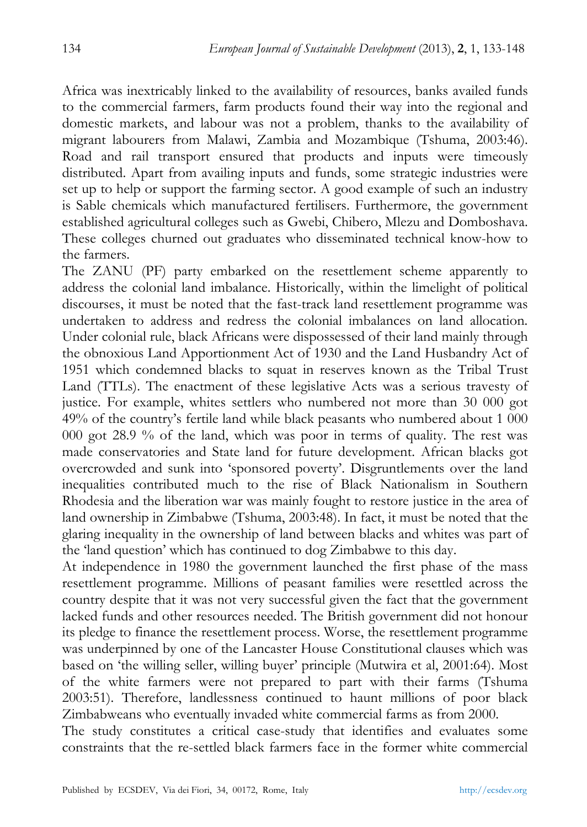Africa was inextricably linked to the availability of resources, banks availed funds to the commercial farmers, farm products found their way into the regional and domestic markets, and labour was not a problem, thanks to the availability of migrant labourers from Malawi, Zambia and Mozambique (Tshuma, 2003:46). Road and rail transport ensured that products and inputs were timeously distributed. Apart from availing inputs and funds, some strategic industries were set up to help or support the farming sector. A good example of such an industry is Sable chemicals which manufactured fertilisers. Furthermore, the government established agricultural colleges such as Gwebi, Chibero, Mlezu and Domboshava. These colleges churned out graduates who disseminated technical know-how to the farmers.

The ZANU (PF) party embarked on the resettlement scheme apparently to address the colonial land imbalance. Historically, within the limelight of political discourses, it must be noted that the fast-track land resettlement programme was undertaken to address and redress the colonial imbalances on land allocation. Under colonial rule, black Africans were dispossessed of their land mainly through the obnoxious Land Apportionment Act of 1930 and the Land Husbandry Act of 1951 which condemned blacks to squat in reserves known as the Tribal Trust Land (TTLs). The enactment of these legislative Acts was a serious travesty of justice. For example, whites settlers who numbered not more than 30 000 got 49% of the country's fertile land while black peasants who numbered about 1 000 000 got 28.9 % of the land, which was poor in terms of quality. The rest was made conservatories and State land for future development. African blacks got overcrowded and sunk into 'sponsored poverty'. Disgruntlements over the land inequalities contributed much to the rise of Black Nationalism in Southern Rhodesia and the liberation war was mainly fought to restore justice in the area of land ownership in Zimbabwe (Tshuma, 2003:48). In fact, it must be noted that the glaring inequality in the ownership of land between blacks and whites was part of the 'land question' which has continued to dog Zimbabwe to this day.

At independence in 1980 the government launched the first phase of the mass resettlement programme. Millions of peasant families were resettled across the country despite that it was not very successful given the fact that the government lacked funds and other resources needed. The British government did not honour its pledge to finance the resettlement process. Worse, the resettlement programme was underpinned by one of the Lancaster House Constitutional clauses which was based on 'the willing seller, willing buyer' principle (Mutwira et al, 2001:64). Most of the white farmers were not prepared to part with their farms (Tshuma 2003:51). Therefore, landlessness continued to haunt millions of poor black Zimbabweans who eventually invaded white commercial farms as from 2000.

The study constitutes a critical case-study that identifies and evaluates some constraints that the re-settled black farmers face in the former white commercial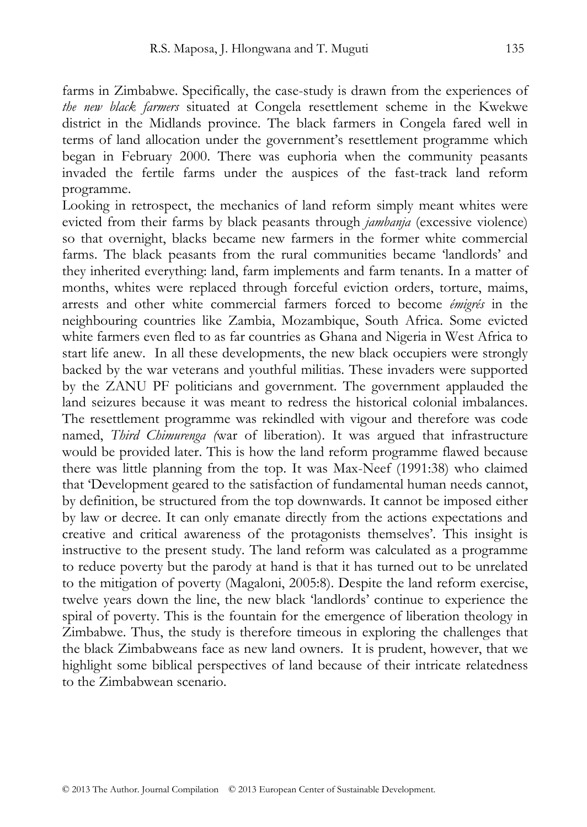farms in Zimbabwe. Specifically, the case-study is drawn from the experiences of *the new black farmers* situated at Congela resettlement scheme in the Kwekwe district in the Midlands province. The black farmers in Congela fared well in terms of land allocation under the government's resettlement programme which began in February 2000. There was euphoria when the community peasants invaded the fertile farms under the auspices of the fast-track land reform programme.

Looking in retrospect, the mechanics of land reform simply meant whites were evicted from their farms by black peasants through *jambanja* (excessive violence) so that overnight, blacks became new farmers in the former white commercial farms. The black peasants from the rural communities became 'landlords' and they inherited everything: land, farm implements and farm tenants. In a matter of months, whites were replaced through forceful eviction orders, torture, maims, arrests and other white commercial farmers forced to become *émigrés* in the neighbouring countries like Zambia, Mozambique, South Africa. Some evicted white farmers even fled to as far countries as Ghana and Nigeria in West Africa to start life anew. In all these developments, the new black occupiers were strongly backed by the war veterans and youthful militias. These invaders were supported by the ZANU PF politicians and government. The government applauded the land seizures because it was meant to redress the historical colonial imbalances. The resettlement programme was rekindled with vigour and therefore was code named, *Third Chimurenga (*war of liberation). It was argued that infrastructure would be provided later. This is how the land reform programme flawed because there was little planning from the top. It was Max-Neef (1991:38) who claimed that 'Development geared to the satisfaction of fundamental human needs cannot, by definition, be structured from the top downwards. It cannot be imposed either by law or decree. It can only emanate directly from the actions expectations and creative and critical awareness of the protagonists themselves'. This insight is instructive to the present study. The land reform was calculated as a programme to reduce poverty but the parody at hand is that it has turned out to be unrelated to the mitigation of poverty (Magaloni, 2005:8). Despite the land reform exercise, twelve years down the line, the new black 'landlords' continue to experience the spiral of poverty. This is the fountain for the emergence of liberation theology in Zimbabwe. Thus, the study is therefore timeous in exploring the challenges that the black Zimbabweans face as new land owners. It is prudent, however, that we highlight some biblical perspectives of land because of their intricate relatedness to the Zimbabwean scenario.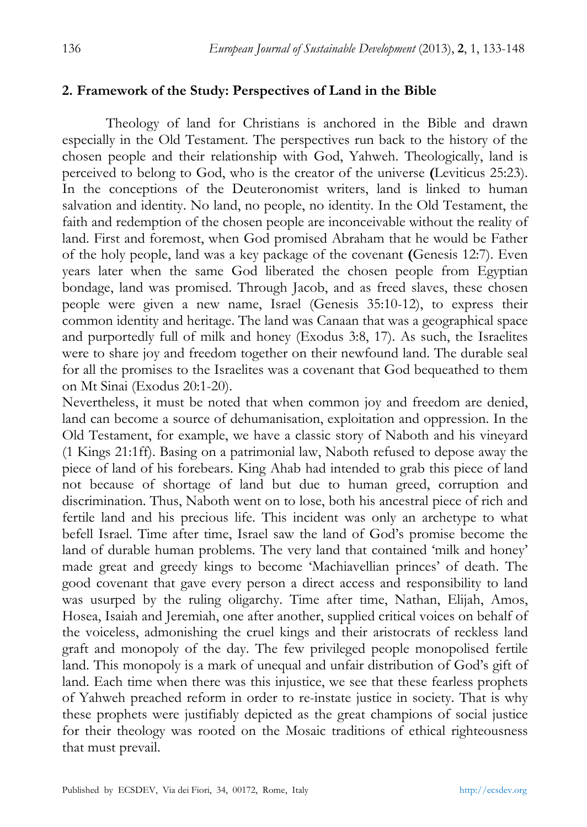#### **2. Framework of the Study: Perspectives of Land in the Bible**

Theology of land for Christians is anchored in the Bible and drawn especially in the Old Testament. The perspectives run back to the history of the chosen people and their relationship with God, Yahweh. Theologically, land is perceived to belong to God, who is the creator of the universe **(**Leviticus 25:23). In the conceptions of the Deuteronomist writers, land is linked to human salvation and identity. No land, no people, no identity. In the Old Testament, the faith and redemption of the chosen people are inconceivable without the reality of land. First and foremost, when God promised Abraham that he would be Father of the holy people, land was a key package of the covenant **(**Genesis 12:7). Even years later when the same God liberated the chosen people from Egyptian bondage, land was promised. Through Jacob, and as freed slaves, these chosen people were given a new name, Israel (Genesis 35:10-12), to express their common identity and heritage. The land was Canaan that was a geographical space and purportedly full of milk and honey (Exodus 3:8, 17). As such, the Israelites were to share joy and freedom together on their newfound land. The durable seal for all the promises to the Israelites was a covenant that God bequeathed to them on Mt Sinai (Exodus 20:1-20).

Nevertheless, it must be noted that when common joy and freedom are denied, land can become a source of dehumanisation, exploitation and oppression. In the Old Testament, for example, we have a classic story of Naboth and his vineyard (1 Kings 21:1ff). Basing on a patrimonial law, Naboth refused to depose away the piece of land of his forebears. King Ahab had intended to grab this piece of land not because of shortage of land but due to human greed, corruption and discrimination. Thus, Naboth went on to lose, both his ancestral piece of rich and fertile land and his precious life. This incident was only an archetype to what befell Israel. Time after time, Israel saw the land of God's promise become the land of durable human problems. The very land that contained 'milk and honey' made great and greedy kings to become 'Machiavellian princes' of death. The good covenant that gave every person a direct access and responsibility to land was usurped by the ruling oligarchy. Time after time, Nathan, Elijah, Amos, Hosea, Isaiah and Jeremiah, one after another, supplied critical voices on behalf of the voiceless, admonishing the cruel kings and their aristocrats of reckless land graft and monopoly of the day. The few privileged people monopolised fertile land. This monopoly is a mark of unequal and unfair distribution of God's gift of land. Each time when there was this injustice, we see that these fearless prophets of Yahweh preached reform in order to re-instate justice in society. That is why these prophets were justifiably depicted as the great champions of social justice for their theology was rooted on the Mosaic traditions of ethical righteousness that must prevail.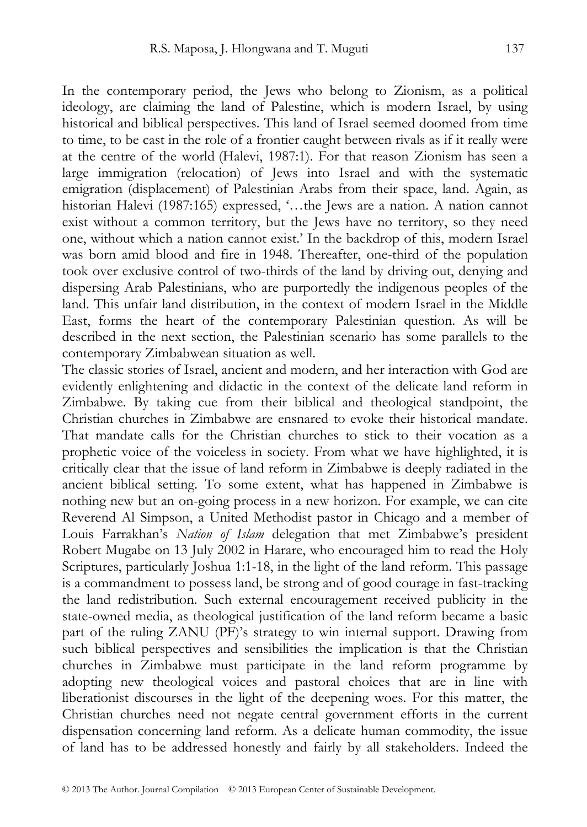In the contemporary period, the Jews who belong to Zionism, as a political ideology, are claiming the land of Palestine, which is modern Israel, by using historical and biblical perspectives. This land of Israel seemed doomed from time to time, to be cast in the role of a frontier caught between rivals as if it really were at the centre of the world (Halevi, 1987:1). For that reason Zionism has seen a large immigration (relocation) of Jews into Israel and with the systematic emigration (displacement) of Palestinian Arabs from their space, land. Again, as historian Halevi (1987:165) expressed, '...the Jews are a nation. A nation cannot exist without a common territory, but the Jews have no territory, so they need one, without which a nation cannot exist.' In the backdrop of this, modern Israel was born amid blood and fire in 1948. Thereafter, one-third of the population took over exclusive control of two-thirds of the land by driving out, denying and dispersing Arab Palestinians, who are purportedly the indigenous peoples of the land. This unfair land distribution, in the context of modern Israel in the Middle East, forms the heart of the contemporary Palestinian question. As will be described in the next section, the Palestinian scenario has some parallels to the contemporary Zimbabwean situation as well.

The classic stories of Israel, ancient and modern, and her interaction with God are evidently enlightening and didactic in the context of the delicate land reform in Zimbabwe. By taking cue from their biblical and theological standpoint, the Christian churches in Zimbabwe are ensnared to evoke their historical mandate. That mandate calls for the Christian churches to stick to their vocation as a prophetic voice of the voiceless in society. From what we have highlighted, it is critically clear that the issue of land reform in Zimbabwe is deeply radiated in the ancient biblical setting. To some extent, what has happened in Zimbabwe is nothing new but an on-going process in a new horizon. For example, we can cite Reverend Al Simpson, a United Methodist pastor in Chicago and a member of Louis Farrakhan's *Nation of Islam* delegation that met Zimbabwe's president Robert Mugabe on 13 July 2002 in Harare, who encouraged him to read the Holy Scriptures, particularly Joshua 1:1-18, in the light of the land reform. This passage is a commandment to possess land, be strong and of good courage in fast-tracking the land redistribution. Such external encouragement received publicity in the state-owned media, as theological justification of the land reform became a basic part of the ruling ZANU (PF)'s strategy to win internal support. Drawing from such biblical perspectives and sensibilities the implication is that the Christian churches in Zimbabwe must participate in the land reform programme by adopting new theological voices and pastoral choices that are in line with liberationist discourses in the light of the deepening woes. For this matter, the Christian churches need not negate central government efforts in the current dispensation concerning land reform. As a delicate human commodity, the issue of land has to be addressed honestly and fairly by all stakeholders. Indeed the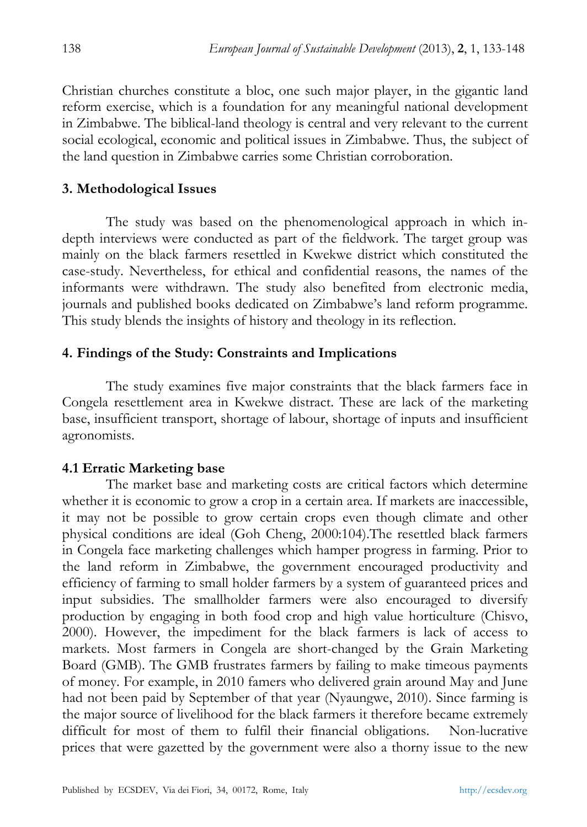Christian churches constitute a bloc, one such major player, in the gigantic land reform exercise, which is a foundation for any meaningful national development in Zimbabwe. The biblical-land theology is central and very relevant to the current social ecological, economic and political issues in Zimbabwe. Thus, the subject of the land question in Zimbabwe carries some Christian corroboration.

#### **3. Methodological Issues**

The study was based on the phenomenological approach in which indepth interviews were conducted as part of the fieldwork. The target group was mainly on the black farmers resettled in Kwekwe district which constituted the case-study. Nevertheless, for ethical and confidential reasons, the names of the informants were withdrawn. The study also benefited from electronic media, journals and published books dedicated on Zimbabwe's land reform programme. This study blends the insights of history and theology in its reflection.

#### **4. Findings of the Study: Constraints and Implications**

The study examines five major constraints that the black farmers face in Congela resettlement area in Kwekwe distract. These are lack of the marketing base, insufficient transport, shortage of labour, shortage of inputs and insufficient agronomists.

#### **4.1 Erratic Marketing base**

The market base and marketing costs are critical factors which determine whether it is economic to grow a crop in a certain area. If markets are inaccessible, it may not be possible to grow certain crops even though climate and other physical conditions are ideal (Goh Cheng, 2000:104).The resettled black farmers in Congela face marketing challenges which hamper progress in farming. Prior to the land reform in Zimbabwe, the government encouraged productivity and efficiency of farming to small holder farmers by a system of guaranteed prices and input subsidies. The smallholder farmers were also encouraged to diversify production by engaging in both food crop and high value horticulture (Chisvo, 2000). However, the impediment for the black farmers is lack of access to markets. Most farmers in Congela are short-changed by the Grain Marketing Board (GMB). The GMB frustrates farmers by failing to make timeous payments of money. For example, in 2010 famers who delivered grain around May and June had not been paid by September of that year (Nyaungwe, 2010). Since farming is the major source of livelihood for the black farmers it therefore became extremely difficult for most of them to fulfil their financial obligations. Non-lucrative prices that were gazetted by the government were also a thorny issue to the new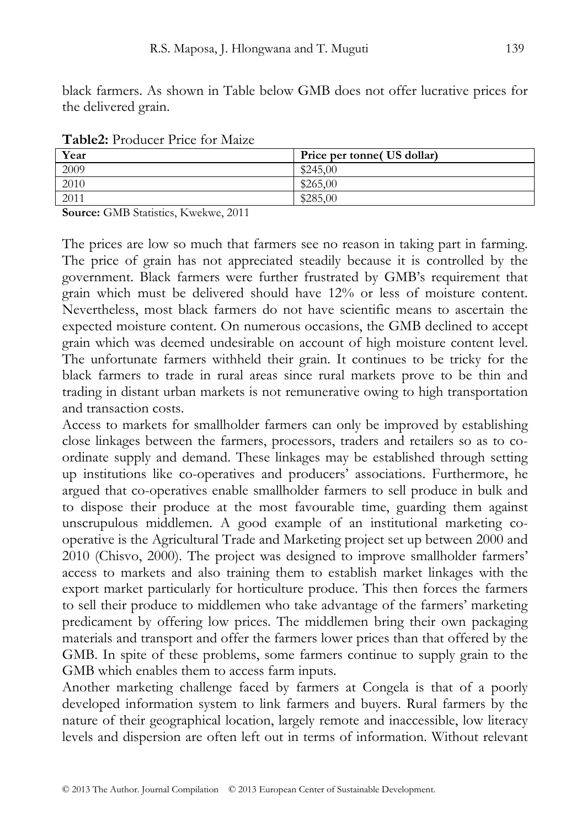black farmers. As shown in Table below GMB does not offer lucrative prices for the delivered grain.

| $\sim$ which is to duce it incorporate in the set |                             |  |
|---------------------------------------------------|-----------------------------|--|
| Year                                              | Price per tonne (US dollar) |  |
| 2009                                              | \$245,00                    |  |
| 2010                                              | \$265,00                    |  |
| 2011                                              | \$285,00                    |  |

**Table2:** Producer Price for Maize

**Source:** GMB Statistics, Kwekwe, 2011

The prices are low so much that farmers see no reason in taking part in farming. The price of grain has not appreciated steadily because it is controlled by the government. Black farmers were further frustrated by GMB's requirement that grain which must be delivered should have 12% or less of moisture content. Nevertheless, most black farmers do not have scientific means to ascertain the expected moisture content. On numerous occasions, the GMB declined to accept grain which was deemed undesirable on account of high moisture content level. The unfortunate farmers withheld their grain. It continues to be tricky for the black farmers to trade in rural areas since rural markets prove to be thin and trading in distant urban markets is not remunerative owing to high transportation and transaction costs.

Access to markets for smallholder farmers can only be improved by establishing close linkages between the farmers, processors, traders and retailers so as to coordinate supply and demand. These linkages may be established through setting up institutions like co-operatives and producers' associations. Furthermore, he argued that co-operatives enable smallholder farmers to sell produce in bulk and to dispose their produce at the most favourable time, guarding them against unscrupulous middlemen. A good example of an institutional marketing cooperative is the Agricultural Trade and Marketing project set up between 2000 and 2010 (Chisvo, 2000). The project was designed to improve smallholder farmers' access to markets and also training them to establish market linkages with the export market particularly for horticulture produce. This then forces the farmers to sell their produce to middlemen who take advantage of the farmers' marketing predicament by offering low prices. The middlemen bring their own packaging materials and transport and offer the farmers lower prices than that offered by the GMB. In spite of these problems, some farmers continue to supply grain to the GMB which enables them to access farm inputs.

Another marketing challenge faced by farmers at Congela is that of a poorly developed information system to link farmers and buyers. Rural farmers by the nature of their geographical location, largely remote and inaccessible, low literacy levels and dispersion are often left out in terms of information. Without relevant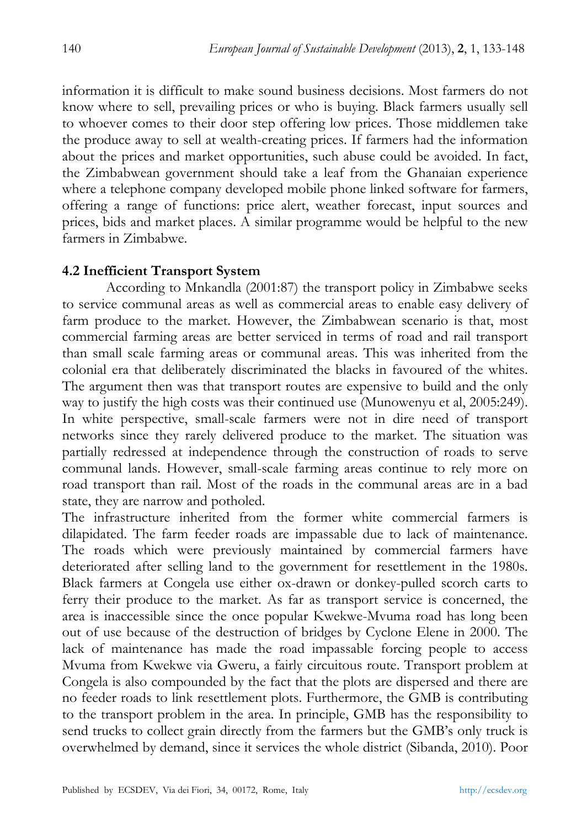information it is difficult to make sound business decisions. Most farmers do not know where to sell, prevailing prices or who is buying. Black farmers usually sell to whoever comes to their door step offering low prices. Those middlemen take the produce away to sell at wealth-creating prices. If farmers had the information about the prices and market opportunities, such abuse could be avoided. In fact, the Zimbabwean government should take a leaf from the Ghanaian experience where a telephone company developed mobile phone linked software for farmers, offering a range of functions: price alert, weather forecast, input sources and prices, bids and market places. A similar programme would be helpful to the new farmers in Zimbabwe.

## **4.2 Inefficient Transport System**

According to Mnkandla (2001:87) the transport policy in Zimbabwe seeks to service communal areas as well as commercial areas to enable easy delivery of farm produce to the market. However, the Zimbabwean scenario is that, most commercial farming areas are better serviced in terms of road and rail transport than small scale farming areas or communal areas. This was inherited from the colonial era that deliberately discriminated the blacks in favoured of the whites. The argument then was that transport routes are expensive to build and the only way to justify the high costs was their continued use (Munowenyu et al, 2005:249). In white perspective, small-scale farmers were not in dire need of transport networks since they rarely delivered produce to the market. The situation was partially redressed at independence through the construction of roads to serve communal lands. However, small-scale farming areas continue to rely more on road transport than rail. Most of the roads in the communal areas are in a bad state, they are narrow and potholed.

The infrastructure inherited from the former white commercial farmers is dilapidated. The farm feeder roads are impassable due to lack of maintenance. The roads which were previously maintained by commercial farmers have deteriorated after selling land to the government for resettlement in the 1980s. Black farmers at Congela use either ox-drawn or donkey-pulled scorch carts to ferry their produce to the market. As far as transport service is concerned, the area is inaccessible since the once popular Kwekwe-Mvuma road has long been out of use because of the destruction of bridges by Cyclone Elene in 2000. The lack of maintenance has made the road impassable forcing people to access Mvuma from Kwekwe via Gweru, a fairly circuitous route. Transport problem at Congela is also compounded by the fact that the plots are dispersed and there are no feeder roads to link resettlement plots. Furthermore, the GMB is contributing to the transport problem in the area. In principle, GMB has the responsibility to send trucks to collect grain directly from the farmers but the GMB's only truck is overwhelmed by demand, since it services the whole district (Sibanda, 2010). Poor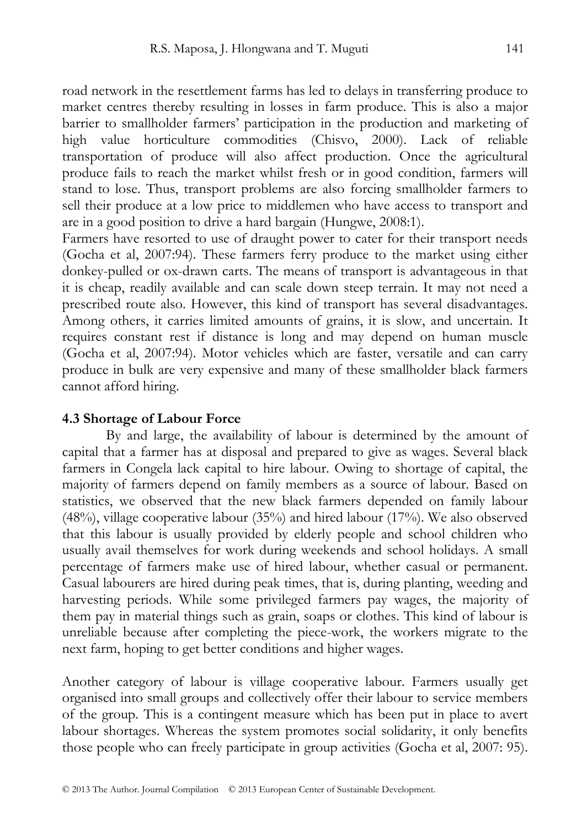road network in the resettlement farms has led to delays in transferring produce to market centres thereby resulting in losses in farm produce. This is also a major barrier to smallholder farmers' participation in the production and marketing of high value horticulture commodities (Chisvo, 2000). Lack of reliable transportation of produce will also affect production. Once the agricultural produce fails to reach the market whilst fresh or in good condition, farmers will stand to lose. Thus, transport problems are also forcing smallholder farmers to sell their produce at a low price to middlemen who have access to transport and are in a good position to drive a hard bargain (Hungwe, 2008:1).

Farmers have resorted to use of draught power to cater for their transport needs (Gocha et al, 2007:94). These farmers ferry produce to the market using either donkey-pulled or ox-drawn carts. The means of transport is advantageous in that it is cheap, readily available and can scale down steep terrain. It may not need a prescribed route also. However, this kind of transport has several disadvantages. Among others, it carries limited amounts of grains, it is slow, and uncertain. It requires constant rest if distance is long and may depend on human muscle (Gocha et al, 2007:94). Motor vehicles which are faster, versatile and can carry produce in bulk are very expensive and many of these smallholder black farmers cannot afford hiring.

#### **4.3 Shortage of Labour Force**

By and large, the availability of labour is determined by the amount of capital that a farmer has at disposal and prepared to give as wages. Several black farmers in Congela lack capital to hire labour. Owing to shortage of capital, the majority of farmers depend on family members as a source of labour. Based on statistics, we observed that the new black farmers depended on family labour  $(48%)$ , village cooperative labour  $(35%)$  and hired labour  $(17%)$ . We also observed that this labour is usually provided by elderly people and school children who usually avail themselves for work during weekends and school holidays. A small percentage of farmers make use of hired labour, whether casual or permanent. Casual labourers are hired during peak times, that is, during planting, weeding and harvesting periods. While some privileged farmers pay wages, the majority of them pay in material things such as grain, soaps or clothes. This kind of labour is unreliable because after completing the piece-work, the workers migrate to the next farm, hoping to get better conditions and higher wages.

Another category of labour is village cooperative labour. Farmers usually get organised into small groups and collectively offer their labour to service members of the group. This is a contingent measure which has been put in place to avert labour shortages. Whereas the system promotes social solidarity, it only benefits those people who can freely participate in group activities (Gocha et al, 2007: 95).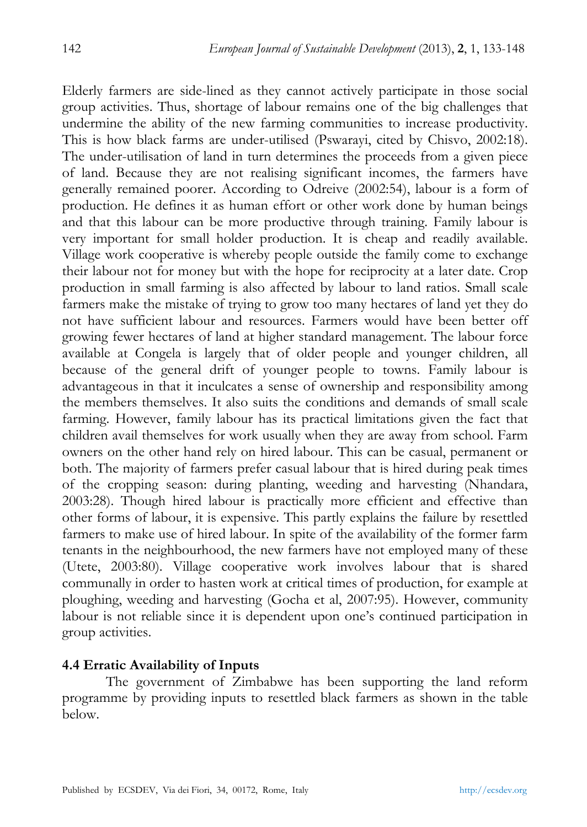Elderly farmers are side-lined as they cannot actively participate in those social group activities. Thus, shortage of labour remains one of the big challenges that undermine the ability of the new farming communities to increase productivity. This is how black farms are under-utilised (Pswarayi, cited by Chisvo, 2002:18). The under-utilisation of land in turn determines the proceeds from a given piece of land. Because they are not realising significant incomes, the farmers have generally remained poorer. According to Odreive (2002:54), labour is a form of production. He defines it as human effort or other work done by human beings and that this labour can be more productive through training. Family labour is very important for small holder production. It is cheap and readily available. Village work cooperative is whereby people outside the family come to exchange their labour not for money but with the hope for reciprocity at a later date. Crop production in small farming is also affected by labour to land ratios. Small scale farmers make the mistake of trying to grow too many hectares of land yet they do not have sufficient labour and resources. Farmers would have been better off growing fewer hectares of land at higher standard management. The labour force available at Congela is largely that of older people and younger children, all because of the general drift of younger people to towns. Family labour is advantageous in that it inculcates a sense of ownership and responsibility among the members themselves. It also suits the conditions and demands of small scale farming. However, family labour has its practical limitations given the fact that children avail themselves for work usually when they are away from school. Farm owners on the other hand rely on hired labour. This can be casual, permanent or both. The majority of farmers prefer casual labour that is hired during peak times of the cropping season: during planting, weeding and harvesting (Nhandara, 2003:28). Though hired labour is practically more efficient and effective than other forms of labour, it is expensive. This partly explains the failure by resettled farmers to make use of hired labour. In spite of the availability of the former farm tenants in the neighbourhood, the new farmers have not employed many of these (Utete, 2003:80). Village cooperative work involves labour that is shared communally in order to hasten work at critical times of production, for example at ploughing, weeding and harvesting (Gocha et al, 2007:95). However, community labour is not reliable since it is dependent upon one's continued participation in group activities.

## **4.4 Erratic Availability of Inputs**

The government of Zimbabwe has been supporting the land reform programme by providing inputs to resettled black farmers as shown in the table below.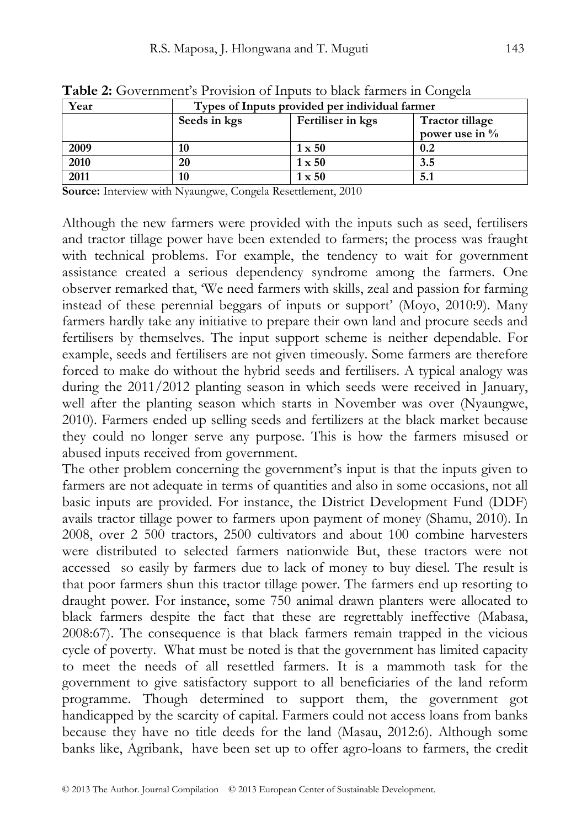| Year | Types of Inputs provided per individual farmer |                   |                        |
|------|------------------------------------------------|-------------------|------------------------|
|      | Seeds in kgs                                   | Fertiliser in kgs | <b>Tractor tillage</b> |
|      |                                                |                   | power use in %         |
| 2009 |                                                | $1 \times 50$     | 0.2                    |
| 2010 | 20                                             | $1 \times 50$     | 3.5                    |
| 2011 | 10                                             | $1 \times 50$     | 5.1                    |

**Table 2:** Government's Provision of Inputs to black farmers in Congela

**Source:** Interview with Nyaungwe, Congela Resettlement, 2010

Although the new farmers were provided with the inputs such as seed, fertilisers and tractor tillage power have been extended to farmers; the process was fraught with technical problems. For example, the tendency to wait for government assistance created a serious dependency syndrome among the farmers. One observer remarked that, 'We need farmers with skills, zeal and passion for farming instead of these perennial beggars of inputs or support' (Moyo, 2010:9). Many farmers hardly take any initiative to prepare their own land and procure seeds and fertilisers by themselves. The input support scheme is neither dependable. For example, seeds and fertilisers are not given timeously. Some farmers are therefore forced to make do without the hybrid seeds and fertilisers. A typical analogy was during the 2011/2012 planting season in which seeds were received in January, well after the planting season which starts in November was over (Nyaungwe, 2010). Farmers ended up selling seeds and fertilizers at the black market because they could no longer serve any purpose. This is how the farmers misused or abused inputs received from government.

The other problem concerning the government's input is that the inputs given to farmers are not adequate in terms of quantities and also in some occasions, not all basic inputs are provided. For instance, the District Development Fund (DDF) avails tractor tillage power to farmers upon payment of money (Shamu, 2010). In 2008, over 2 500 tractors, 2500 cultivators and about 100 combine harvesters were distributed to selected farmers nationwide But, these tractors were not accessed so easily by farmers due to lack of money to buy diesel. The result is that poor farmers shun this tractor tillage power. The farmers end up resorting to draught power. For instance, some 750 animal drawn planters were allocated to black farmers despite the fact that these are regrettably ineffective (Mabasa, 2008:67). The consequence is that black farmers remain trapped in the vicious cycle of poverty. What must be noted is that the government has limited capacity to meet the needs of all resettled farmers. It is a mammoth task for the government to give satisfactory support to all beneficiaries of the land reform programme. Though determined to support them, the government got handicapped by the scarcity of capital. Farmers could not access loans from banks because they have no title deeds for the land (Masau, 2012:6). Although some banks like, Agribank, have been set up to offer agro-loans to farmers, the credit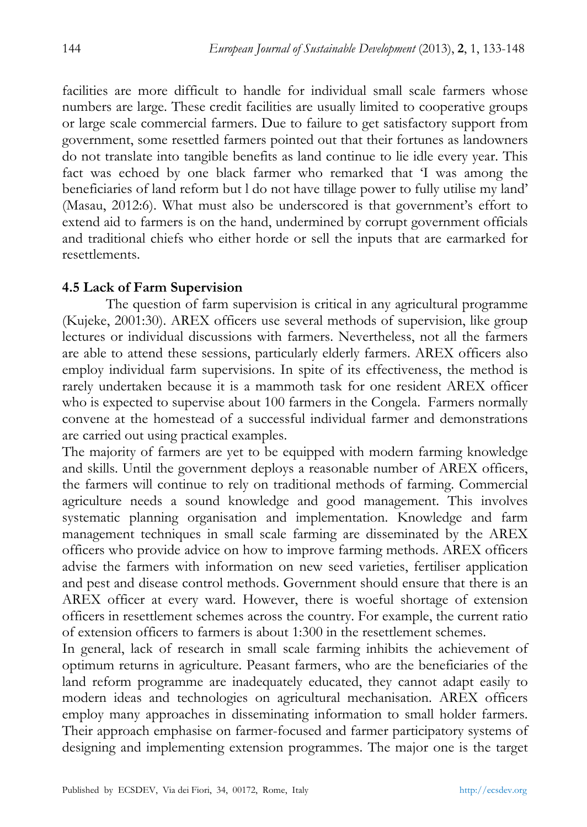facilities are more difficult to handle for individual small scale farmers whose numbers are large. These credit facilities are usually limited to cooperative groups or large scale commercial farmers. Due to failure to get satisfactory support from government, some resettled farmers pointed out that their fortunes as landowners do not translate into tangible benefits as land continue to lie idle every year. This fact was echoed by one black farmer who remarked that 'I was among the beneficiaries of land reform but l do not have tillage power to fully utilise my land' (Masau, 2012:6). What must also be underscored is that government's effort to extend aid to farmers is on the hand, undermined by corrupt government officials and traditional chiefs who either horde or sell the inputs that are earmarked for resettlements.

#### **4.5 Lack of Farm Supervision**

The question of farm supervision is critical in any agricultural programme (Kujeke, 2001:30). AREX officers use several methods of supervision, like group lectures or individual discussions with farmers. Nevertheless, not all the farmers are able to attend these sessions, particularly elderly farmers. AREX officers also employ individual farm supervisions. In spite of its effectiveness, the method is rarely undertaken because it is a mammoth task for one resident AREX officer who is expected to supervise about 100 farmers in the Congela. Farmers normally convene at the homestead of a successful individual farmer and demonstrations are carried out using practical examples.

The majority of farmers are yet to be equipped with modern farming knowledge and skills. Until the government deploys a reasonable number of AREX officers, the farmers will continue to rely on traditional methods of farming. Commercial agriculture needs a sound knowledge and good management. This involves systematic planning organisation and implementation. Knowledge and farm management techniques in small scale farming are disseminated by the AREX officers who provide advice on how to improve farming methods. AREX officers advise the farmers with information on new seed varieties, fertiliser application and pest and disease control methods. Government should ensure that there is an AREX officer at every ward. However, there is woeful shortage of extension officers in resettlement schemes across the country. For example, the current ratio of extension officers to farmers is about 1:300 in the resettlement schemes.

In general, lack of research in small scale farming inhibits the achievement of optimum returns in agriculture. Peasant farmers, who are the beneficiaries of the land reform programme are inadequately educated, they cannot adapt easily to modern ideas and technologies on agricultural mechanisation. AREX officers employ many approaches in disseminating information to small holder farmers. Their approach emphasise on farmer-focused and farmer participatory systems of designing and implementing extension programmes. The major one is the target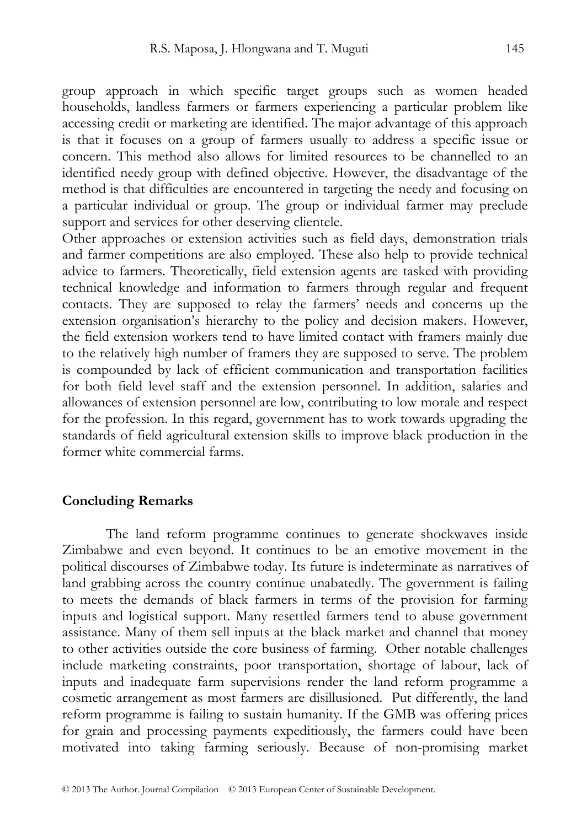group approach in which specific target groups such as women headed households, landless farmers or farmers experiencing a particular problem like accessing credit or marketing are identified. The major advantage of this approach is that it focuses on a group of farmers usually to address a specific issue or concern. This method also allows for limited resources to be channelled to an identified needy group with defined objective. However, the disadvantage of the method is that difficulties are encountered in targeting the needy and focusing on a particular individual or group. The group or individual farmer may preclude support and services for other deserving clientele.

Other approaches or extension activities such as field days, demonstration trials and farmer competitions are also employed. These also help to provide technical advice to farmers. Theoretically, field extension agents are tasked with providing technical knowledge and information to farmers through regular and frequent contacts. They are supposed to relay the farmers' needs and concerns up the extension organisation's hierarchy to the policy and decision makers. However, the field extension workers tend to have limited contact with framers mainly due to the relatively high number of framers they are supposed to serve. The problem is compounded by lack of efficient communication and transportation facilities for both field level staff and the extension personnel. In addition, salaries and allowances of extension personnel are low, contributing to low morale and respect for the profession. In this regard, government has to work towards upgrading the standards of field agricultural extension skills to improve black production in the former white commercial farms.

#### **Concluding Remarks**

The land reform programme continues to generate shockwaves inside Zimbabwe and even beyond. It continues to be an emotive movement in the political discourses of Zimbabwe today. Its future is indeterminate as narratives of land grabbing across the country continue unabatedly. The government is failing to meets the demands of black farmers in terms of the provision for farming inputs and logistical support. Many resettled farmers tend to abuse government assistance. Many of them sell inputs at the black market and channel that money to other activities outside the core business of farming. Other notable challenges include marketing constraints, poor transportation, shortage of labour, lack of inputs and inadequate farm supervisions render the land reform programme a cosmetic arrangement as most farmers are disillusioned. Put differently, the land reform programme is failing to sustain humanity. If the GMB was offering prices for grain and processing payments expeditiously, the farmers could have been motivated into taking farming seriously. Because of non-promising market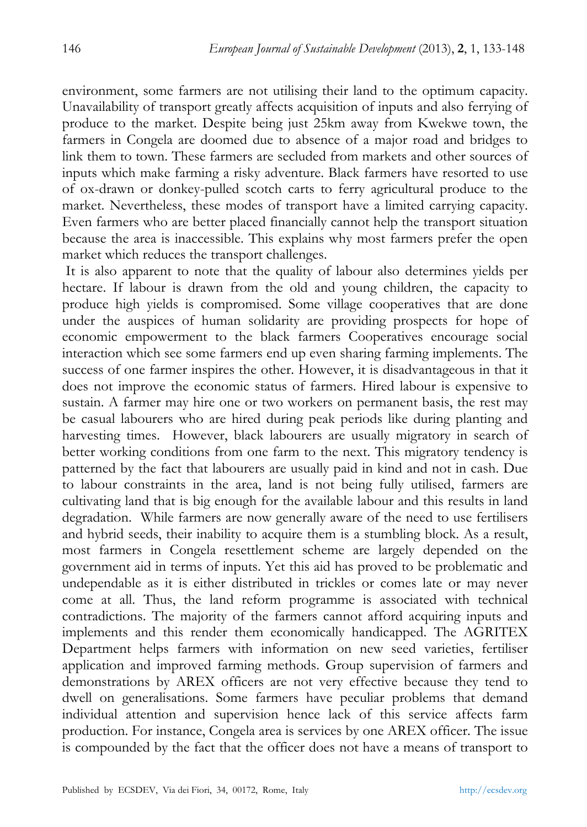environment, some farmers are not utilising their land to the optimum capacity. Unavailability of transport greatly affects acquisition of inputs and also ferrying of produce to the market. Despite being just 25km away from Kwekwe town, the farmers in Congela are doomed due to absence of a major road and bridges to link them to town. These farmers are secluded from markets and other sources of inputs which make farming a risky adventure. Black farmers have resorted to use of ox-drawn or donkey-pulled scotch carts to ferry agricultural produce to the market. Nevertheless, these modes of transport have a limited carrying capacity. Even farmers who are better placed financially cannot help the transport situation because the area is inaccessible. This explains why most farmers prefer the open market which reduces the transport challenges.

 It is also apparent to note that the quality of labour also determines yields per hectare. If labour is drawn from the old and young children, the capacity to produce high yields is compromised. Some village cooperatives that are done under the auspices of human solidarity are providing prospects for hope of economic empowerment to the black farmers Cooperatives encourage social interaction which see some farmers end up even sharing farming implements. The success of one farmer inspires the other. However, it is disadvantageous in that it does not improve the economic status of farmers. Hired labour is expensive to sustain. A farmer may hire one or two workers on permanent basis, the rest may be casual labourers who are hired during peak periods like during planting and harvesting times. However, black labourers are usually migratory in search of better working conditions from one farm to the next. This migratory tendency is patterned by the fact that labourers are usually paid in kind and not in cash. Due to labour constraints in the area, land is not being fully utilised, farmers are cultivating land that is big enough for the available labour and this results in land degradation. While farmers are now generally aware of the need to use fertilisers and hybrid seeds, their inability to acquire them is a stumbling block. As a result, most farmers in Congela resettlement scheme are largely depended on the government aid in terms of inputs. Yet this aid has proved to be problematic and undependable as it is either distributed in trickles or comes late or may never come at all. Thus, the land reform programme is associated with technical contradictions. The majority of the farmers cannot afford acquiring inputs and implements and this render them economically handicapped. The AGRITEX Department helps farmers with information on new seed varieties, fertiliser application and improved farming methods. Group supervision of farmers and demonstrations by AREX officers are not very effective because they tend to dwell on generalisations. Some farmers have peculiar problems that demand individual attention and supervision hence lack of this service affects farm production. For instance, Congela area is services by one AREX officer. The issue is compounded by the fact that the officer does not have a means of transport to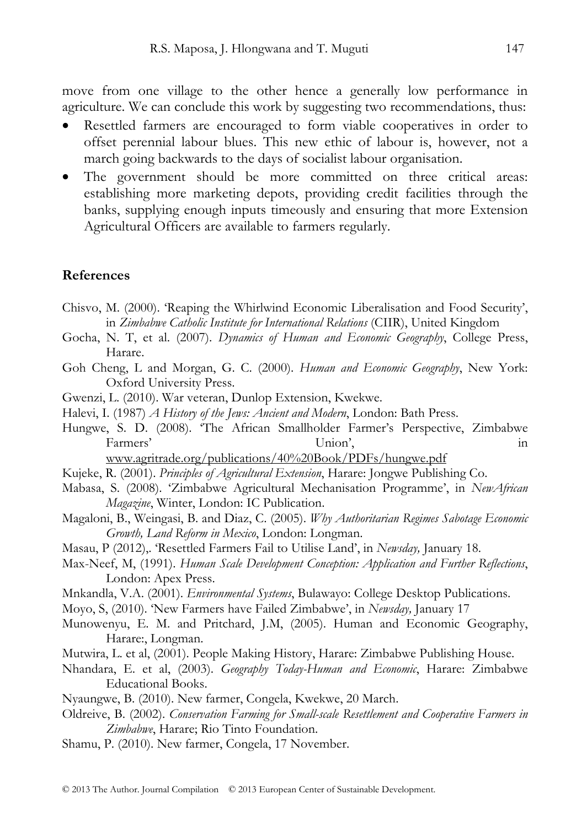move from one village to the other hence a generally low performance in agriculture. We can conclude this work by suggesting two recommendations, thus:

- Resettled farmers are encouraged to form viable cooperatives in order to offset perennial labour blues. This new ethic of labour is, however, not a march going backwards to the days of socialist labour organisation.
- The government should be more committed on three critical areas: establishing more marketing depots, providing credit facilities through the banks, supplying enough inputs timeously and ensuring that more Extension Agricultural Officers are available to farmers regularly.

#### **References**

- Chisvo, M. (2000). 'Reaping the Whirlwind Economic Liberalisation and Food Security', in *Zimbabwe Catholic Institute for International Relations* (CIIR), United Kingdom
- Gocha, N. T, et al. (2007). *Dynamics of Human and Economic Geography*, College Press, Harare.
- Goh Cheng, L and Morgan, G. C. (2000). *Human and Economic Geography*, New York: Oxford University Press.
- Gwenzi, L. (2010). War veteran, Dunlop Extension, Kwekwe.
- Halevi, I. (1987) *A History of the Jews: Ancient and Modern*, London: Bath Press.
- Hungwe, S. D. (2008). 'The African Smallholder Farmer's Perspective, Zimbabwe Farmers' Union', the Union', the contract of the contract of the contract of the contract of the contract of the contract of the contract of the contract of the contract of the contract of the contract of the contract of t

www.agritrade.org/publications/40%20Book/PDFs/hungwe.pdf

- Kujeke, R. (2001). *Principles of Agricultural Extension*, Harare: Jongwe Publishing Co.
- Mabasa, S. (2008). 'Zimbabwe Agricultural Mechanisation Programme', in *NewAfrican Magazine*, Winter, London: IC Publication.
- Magaloni, B., Weingasi, B. and Diaz, C. (2005). *Why Authoritarian Regimes Sabotage Economic Growth, Land Reform in Mexico*, London: Longman.
- Masau, P (2012),. 'Resettled Farmers Fail to Utilise Land', in *Newsday,* January 18.
- Max-Neef, M, (1991). *Human Scale Development Conception: Application and Further Reflections*, London: Apex Press.
- Mnkandla, V.A. (2001). *Environmental Systems*, Bulawayo: College Desktop Publications.
- Moyo, S, (2010). 'New Farmers have Failed Zimbabwe', in *Newsday,* January 17
- Munowenyu, E. M. and Pritchard, J.M, (2005). Human and Economic Geography, Harare:, Longman.
- Mutwira, L. et al, (2001). People Making History, Harare: Zimbabwe Publishing House.
- Nhandara, E. et al, (2003). *Geography Today-Human and Economic*, Harare: Zimbabwe Educational Books.
- Nyaungwe, B. (2010). New farmer, Congela, Kwekwe, 20 March.
- Oldreive, B. (2002). *Conservation Farming for Small-scale Resettlement and Cooperative Farmers in Zimbabwe*, Harare; Rio Tinto Foundation.
- Shamu, P. (2010). New farmer, Congela, 17 November.